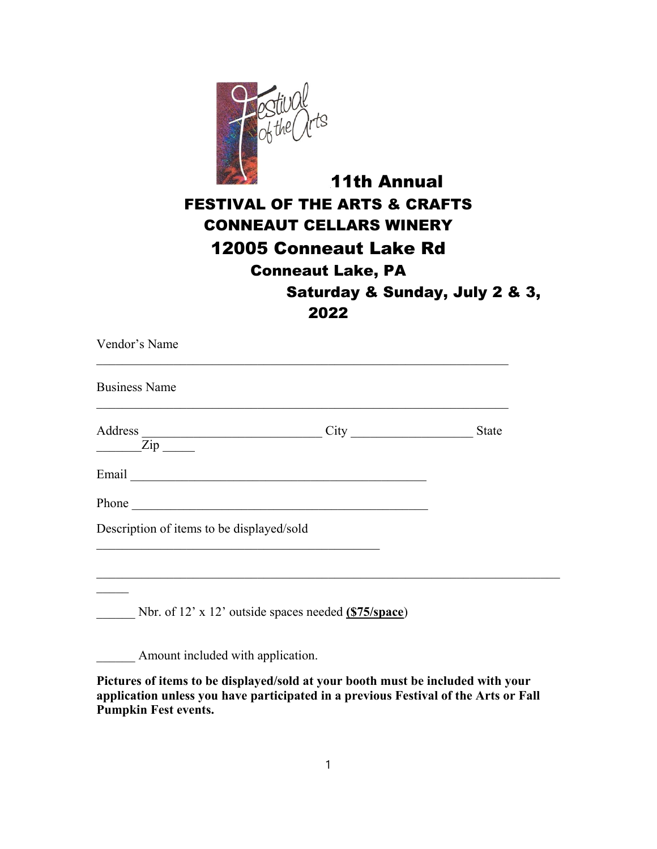

## 11th Annual FESTIVAL OF THE ARTS & CRAFTS CONNEAUT CELLARS WINERY 12005 Conneaut Lake Rd Conneaut Lake, PA Saturday & Sunday, July 2 & 3, 2022

| Vendor's Name                                                                                                                                                     |                                                              |              |
|-------------------------------------------------------------------------------------------------------------------------------------------------------------------|--------------------------------------------------------------|--------------|
| <b>Business Name</b>                                                                                                                                              |                                                              |              |
|                                                                                                                                                                   | Address $\frac{1}{2}$ City                                   | <b>State</b> |
|                                                                                                                                                                   |                                                              |              |
|                                                                                                                                                                   |                                                              |              |
| Description of items to be displayed/sold<br><u> 1989 - Johann Stein, marwolaethau a bhann an t-Amhain an t-Amhain an t-Amhain an t-Amhain an t-Amhain an t-A</u> |                                                              |              |
| <u> 1989 - Johann John Stone, markin sanat masjid ayyı bir alan bir alan bir alan bir alan bir alan bir alan bir</u>                                              |                                                              |              |
|                                                                                                                                                                   | Nbr. of 12' x 12' outside spaces needed $(S75/\text{space})$ |              |
| Amount included with application.                                                                                                                                 |                                                              |              |

**Pictures of items to be displayed/sold at your booth must be included with your application unless you have participated in a previous Festival of the Arts or Fall Pumpkin Fest events.**